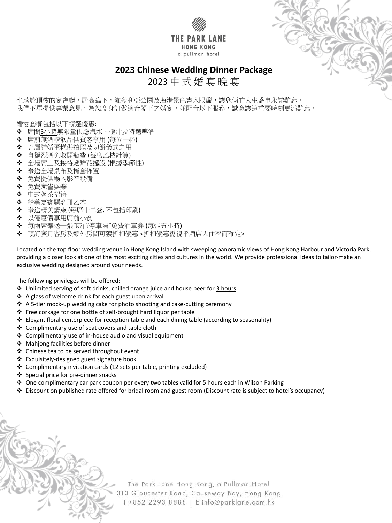



2023 中 式 婚 宴 晚 宴

坐落於頂樓的宴會廳,居高臨下,維多利亞公園及海港景色盡入眼簾,讓您倆的人生盛事永誌難忘。

我們不單提供專業意見,為您度身訂做適合閣下之婚宴,並配合以下服務,誠意讓這重要時刻更添難忘。

婚宴套餐包括以下精選優惠:

- ❖ 席間<u>3小時</u>無限量供應汽水、橙汁及特選啤酒
- 席前無酒精飲品供賓客享用 (每位一杯)
- 五層結婚蛋糕供拍照及切餅儀式之用
- 自攜烈酒免收開瓶費 (每席乙枝計算)
- 全場席上及接待處鮮花擺設 (根據季節性)
- 奉送全場桌布及椅套佈置
- 免費提供場內影音設備
- 免費麻雀耍樂
- ❖ 中式茗茶招待
- ◆ 精美嘉賓題名冊乙本
- 奉送精美請柬 (每席十二套, 不包括印刷)
- 以優惠價享用席前小食
- ◆ 每兩席奉送一張"威信停車場"免費泊車券 (每張五小時)
- ◆ 預訂蜜月客房及額外房間可獲折扣優惠 <折扣優惠需視乎酒店入住率而確定>

Located on the top floor wedding venue in Hong Kong Island with sweeping panoramic views of Hong Kong Harbour and Victoria Park, providing a closer look at one of the most exciting cities and cultures in the world. We provide professional ideas to tailor-make an exclusive wedding designed around your needs.

The following privileges will be offered:

- ◆ Unlimited serving of soft drinks, chilled orange juice and house beer for 3 hours
- ❖ A glass of welcome drink for each guest upon arrival
- ❖ A 5-tier mock-up wedding cake for photo shooting and cake-cutting ceremony
- Free corkage for one bottle of self-brought hard liquor per table
- Elegant floral centerpiece for reception table and each dining table (according to seasonality)
- ❖ Complimentary use of seat covers and table cloth
- Complimentary use of in-house audio and visual equipment
- ◆ Mahjong facilities before dinner
- ❖ Chinese tea to be served throughout event
- Exquisitely-designed guest signature book
- Complimentary invitation cards (12 sets per table, printing excluded)
- 
- Special price for pre-dinner snacks
- ◆ One complimentary car park coupon per every two tables valid for 5 hours each in Wilson Parking
- Discount on published rate offered for bridal room and guest room (Discount rate is subject to hotel's occupancy)

The Park Lane Hong Kong, a Pullman Hotel 310 Gloucester Road, Causeway Bay, Hong Kong T +852 2293 8888 | E info@parklane.com.hk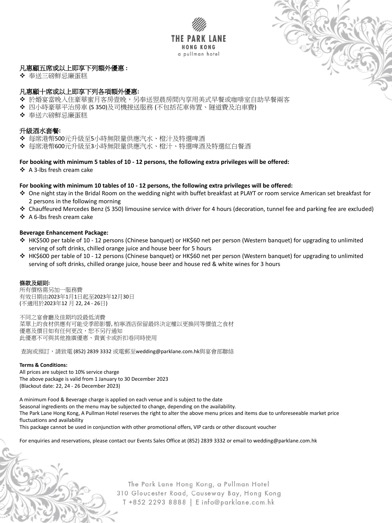



# 凡惠顧五席或以上即享下列額外優惠 **:**

◆ 奉送三磅鮮忌廉蛋糕

## 凡惠顧十席或以上即享下列各項額外優惠**:**

- ◆ 於婚宴當晚入住豪華蜜月客房壹晚,另奉送翌晨房間內享用美式早餐或咖啡室自助早餐兩客
- 四小時豪華平治房車 (S 350)及司機接送服務 (不包括花車佈置、隧道費及泊車費)
- ❖ 奉送六磅鮮忌廉蛋糕

## 升級酒水套餐**:**

- 每席港幣500元升級至5小時無限量供應汽水、橙汁及特選啤酒
- 每席港幣600元升級至3小時無限量供應汽水、橙汁、特選啤酒及特選紅白餐酒

## **For booking with minimum 5 tables of 10 - 12 persons, the following extra privileges will be offered:**

❖ A 3-lbs fresh cream cake

### **For booking with minimum 10 tables of 10 - 12 persons, the following extra privileges will be offered:**

- ◆ One night stay in the Bridal Room on the wedding night with buffet breakfast at PLAYT or room service American set breakfast for 2 persons in the following morning
- Chauffeured Mercedes Benz (S 350) limousine service with driver for 4 hours (decoration, tunnel fee and parking fee are excluded)
- ❖ A 6-lbs fresh cream cake

### **Beverage Enhancement Package:**

- HK\$500 per table of 10 12 persons (Chinese banquet) or HK\$60 net per person (Western banquet) for upgrading to unlimited serving of soft drinks, chilled orange juice and house beer for 5 hours
- HK\$600 per table of 10 12 persons (Chinese banquet) or HK\$60 net per person (Western banquet) for upgrading to unlimited serving of soft drinks, chilled orange juice, house beer and house red & white wines for 3 hours

### 條款及細則**:**

所有價格需另加一服務費 有效日期由2023年1月1日起至2023年12月30日 (不適用於2023年12 月 22, 24 - 26日)

不同之宴會廳及佳期均設最低消費 菜單上的食材供應有可能受季節影響, 柏寧酒店保留最終決定權以更換同等價值之食材 優惠及價目如有任何更改,恕不另行通知 此優惠不可與其他推廣優惠、貴賓卡或折扣卷同時使用

查詢或預訂,請致電 (852) 2839 3332 或電郵至wedding@parklane.com.hk與宴會部聯絡

#### **Terms & Conditions:**

All prices are subject to 10% service charge The above package is valid from 1 January to 30 December 2023 (Blackout date: 22, 24 - 26 December 2023)

A minimum Food & Beverage charge is applied on each venue and is subject to the date Seasonal ingredients on the menu may be subjected to change, depending on the availability. The Park Lane Hong Kong, A Pullman Hotel reserves the right to alter the above menu prices and items due to unforeseeable market price fluctuations and availability

This package cannot be used in conjunction with other promotional offers, VIP cards or other discount voucher

For enquiries and reservations, please contact our Events Sales Office at (852) 2839 3332 or email to wedding@parklane.com.hk

The Park Lane Hong Kong, a Pullman Hotel 310 Gloucester Road, Causeway Bay, Hong Kong T +852 2293 8888 | E info@parklane.com.hk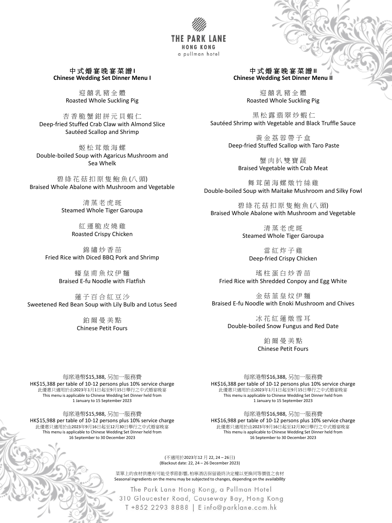

中 式 婚 宴 晚 宴 菜 譜 **I Chinese Wedding Set Dinner Menu I**

> 迎 囍 乳 豬 全 體 Roasted Whole Suckling Pig

杏 香 脆 蟹 鉗 拼 元 貝 蝦 仁 Deep-fried Stuffed Crab Claw with Almond Slice Sautéed Scallop and Shrimp

碧綠花菇扣原隻鮑魚(八頭) Braised Whole Abalone with Mushroom and Vegetable

> 清蒸老虎斑 Steamed Whole Tiger Garoupa

姬 松 茸 燉 海 螺 Double-boiled Soup with Agaricus Mushroom and Sea Whelk

錦 繡 炒 香 苗 Fried Rice with Diced BBQ Pork and Shrimp

#### 中 式 婚 宴 晚 宴 菜 譜 Ⅱ **Chinese Wedding Set Dinner Menu II**

紅 運 脆 皮 燒 雞 Roasted Crispy Chicken

蟹肉扒雙寶蔬 Braised Vegetable with Crab Meat

舞茸菌海螺燉竹絲雞 Double-boiled Soup with Maitake Mushroom and Silky Fowl

蠔 皇 甫 魚 炆 伊 麵 Braised E-fu Noodle with Flatfish

碧 綠 花 菇 扣 原 隻 鮑 魚 (八 頭) Braised Whole Abalone with Mushroom and Vegetable

> 清蒸老虎斑 Steamed Whole Tiger Garoupa

蓮 子 百 合 紅 豆 沙 Sweetened Red Bean Soup with Lily Bulb and Lotus Seed

> 鉑 爾 曼 美 點 Chinese Petit Fours

迎 囍 乳 豬 全 體 Roasted Whole Suckling Pig

黑 松 露 翡 翠 炒 蝦 仁 Sautéed Shrimp with Vegetable and Black Truffle Sauce

> 黃 金 荔 蓉 帶 子 盒 Deep-fried Stuffed Scallop with Taro Paste

> > 當 紅 炸 子 雞 Deep-fried Crispy Chicken

瑤 柱 蛋 白 炒 香 苗 Fried Rice with Shredded Conpoy and Egg White

金 菇 韮 皇 炆 伊 麵 Braised E-fu Noodle with Enoki Mushroom and Chives

> 冰 花 紅 蓮 燉 雪 耳 Double-boiled Snow Fungus and Red Date

> > 鉑 爾 曼 美 點 Chinese Petit Fours

每席港幣\$15,388, 另加一服務費 HK\$15,388 per table of 10-12 persons plus 10% service charge 此優惠只適用於由2023年1月1日起至9月15日舉行之中式婚宴晚宴 This menu is applicable to Chinese Wedding Set Dinner held from 1 January to 15 September 2023

每席港幣\$15,988, 另加一服務費 HK\$15,988 per table of 10-12 persons plus 10% service charge 此優惠只適用於由2023年9月16日起至12月30日舉行之中式婚宴晚宴 This menu is applicable to Chinese Wedding Set Dinner held from 16 September to 30 December 2023

> (不適用於2023年12 月 22, 24 – 26日) (Blackout date: 22, 24 – 26 December 2023)

菜單上的食材供應有可能受季節影響, 柏寧酒店保留最終決定權以更換同等價值之食材 Seasonal ingredients on the menu may be subjected to changes, depending on the availability

The Park Lane Hong Kong, a Pullman Hotel 310 Gloucester Road, Causeway Bay, Hong Kong T +852 2293 8888 | E info@parklane.com.hk

#### 每席港幣\$16,388, 另加一服務費

HK\$16,388 per table of 10-12 persons plus 10% service charge 此優惠只適用於由2023年1月1日起至9月15日舉行之中式婚宴晚宴 This menu is applicable to Chinese Wedding Set Dinner held from 1 January to 15 September 2023

每席港幣\$16,988, 另加一服務費 HK\$16,988 per table of 10-12 persons plus 10% service charge 此優惠只適用於由2023年9月16日起至12月30日舉行之中式婚宴晚宴 This menu is applicable to Chinese Wedding Set Dinner held from 16 September to 30 December 2023